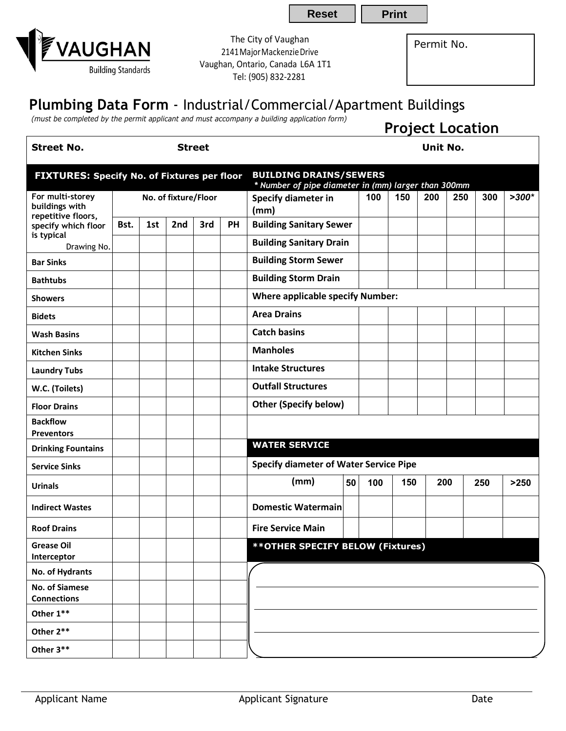The City of Vaughan 2141MajorMackenzieDrive Vaughan, Ontario, Canada L6A 1T1 Tel: (905) 832-2281

Permit No.

**Reset | Print** 

## **Plumbing Data Form** - Industrial/Commercial/Apartment Buildings

*(must be completed by the permit applicant and must accompany a building application form)*

|                                                                                                              |                      |     |     |     |    | rindst be completed by the permit applicant and mast accompany a banding application form, |          |     |     |     | <b>Project Location</b> |     |         |
|--------------------------------------------------------------------------------------------------------------|----------------------|-----|-----|-----|----|--------------------------------------------------------------------------------------------|----------|-----|-----|-----|-------------------------|-----|---------|
| <b>Street No.</b>                                                                                            | <b>Street</b>        |     |     |     |    |                                                                                            | Unit No. |     |     |     |                         |     |         |
| <b>FIXTURES: Specify No. of Fixtures per floor</b>                                                           |                      |     |     |     |    | <b>BUILDING DRAINS/SEWERS</b><br>* Number of pipe diameter in (mm) larger than 300mm       |          |     |     |     |                         |     |         |
| For multi-storey<br>buildings with<br>repetitive floors,<br>specify which floor<br>is typical<br>Drawing No. | No. of fixture/Floor |     |     |     |    | Specify diameter in<br>(mm)                                                                |          | 100 | 150 | 200 | 250                     | 300 | $>300*$ |
|                                                                                                              | Bst.                 | 1st | 2nd | 3rd | PH | <b>Building Sanitary Sewer</b>                                                             |          |     |     |     |                         |     |         |
|                                                                                                              |                      |     |     |     |    | <b>Building Sanitary Drain</b>                                                             |          |     |     |     |                         |     |         |
| <b>Bar Sinks</b>                                                                                             |                      |     |     |     |    | <b>Building Storm Sewer</b>                                                                |          |     |     |     |                         |     |         |
| <b>Bathtubs</b>                                                                                              |                      |     |     |     |    | <b>Building Storm Drain</b>                                                                |          |     |     |     |                         |     |         |
| <b>Showers</b>                                                                                               |                      |     |     |     |    | <b>Where applicable specify Number:</b>                                                    |          |     |     |     |                         |     |         |
| <b>Bidets</b>                                                                                                |                      |     |     |     |    | <b>Area Drains</b>                                                                         |          |     |     |     |                         |     |         |
| <b>Wash Basins</b>                                                                                           |                      |     |     |     |    | <b>Catch basins</b>                                                                        |          |     |     |     |                         |     |         |
| <b>Kitchen Sinks</b>                                                                                         |                      |     |     |     |    | <b>Manholes</b>                                                                            |          |     |     |     |                         |     |         |
| <b>Laundry Tubs</b>                                                                                          |                      |     |     |     |    | <b>Intake Structures</b>                                                                   |          |     |     |     |                         |     |         |
| W.C. (Toilets)                                                                                               |                      |     |     |     |    | <b>Outfall Structures</b>                                                                  |          |     |     |     |                         |     |         |
| <b>Floor Drains</b>                                                                                          |                      |     |     |     |    | <b>Other (Specify below)</b>                                                               |          |     |     |     |                         |     |         |
| <b>Backflow</b><br><b>Preventors</b>                                                                         |                      |     |     |     |    |                                                                                            |          |     |     |     |                         |     |         |
| <b>Drinking Fountains</b>                                                                                    |                      |     |     |     |    | <b>WATER SERVICE</b>                                                                       |          |     |     |     |                         |     |         |
| <b>Service Sinks</b>                                                                                         |                      |     |     |     |    | <b>Specify diameter of Water Service Pipe</b>                                              |          |     |     |     |                         |     |         |
| <b>Urinals</b>                                                                                               |                      |     |     |     |    | (mm)                                                                                       | 50       | 100 | 150 | 200 |                         | 250 | >250    |
| <b>Indirect Wastes</b>                                                                                       |                      |     |     |     |    | <b>Domestic Watermain</b>                                                                  |          |     |     |     |                         |     |         |
| <b>Roof Drains</b>                                                                                           |                      |     |     |     |    | <b>Fire Service Main</b>                                                                   |          |     |     |     |                         |     |         |
| <b>Grease Oil</b><br>Interceptor                                                                             |                      |     |     |     |    | ** OTHER SPECIFY BELOW (Fixtures)                                                          |          |     |     |     |                         |     |         |
| No. of Hydrants                                                                                              |                      |     |     |     |    |                                                                                            |          |     |     |     |                         |     |         |
| No. of Siamese<br><b>Connections</b>                                                                         |                      |     |     |     |    |                                                                                            |          |     |     |     |                         |     |         |
| Other $1**$                                                                                                  |                      |     |     |     |    |                                                                                            |          |     |     |     |                         |     |         |
| Other 2**                                                                                                    |                      |     |     |     |    |                                                                                            |          |     |     |     |                         |     |         |
| $O$ thor $2**$                                                                                               |                      |     |     |     |    |                                                                                            |          |     |     |     |                         |     |         |